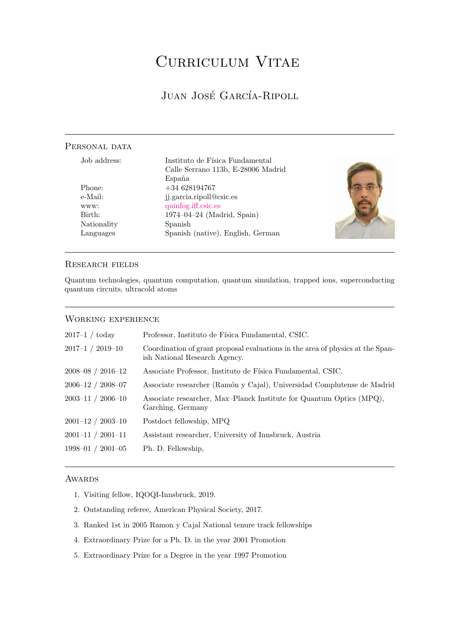# CURRICULUM VITAE

# JUAN JOSÉ GARCÍA-RIPOLL

# <span id="page-0-0"></span>PERSONAL DATA

| Job address: | Instituto de Física Fundamental    |  |
|--------------|------------------------------------|--|
|              | Calle Serrano 113b, E-28006 Madrid |  |
|              | España                             |  |
| Phone:       | $+34628194767$                     |  |
| e-Mail:      | jj.garcia.ripoll@csic.es           |  |
| www:         | quinfog.iff.csic.es                |  |
| Birth:       | $1974 - 04 - 24$ (Madrid, Spain)   |  |
| Nationality  | Spanish                            |  |
| Languages    | Spanish (native), English, German  |  |
|              |                                    |  |

### Research fields

Quantum technologies, quantum computation, quantum simulation, trapped ions, superconducting quantum circuits, ultracold atoms

### Working experience

| $2017-1 / \text{today}$ | Professor, Instituto de Física Fundamental, CSIC.                                                               |
|-------------------------|-----------------------------------------------------------------------------------------------------------------|
| $2017-1 / 2019-10$      | Coordination of grant proposal evaluations in the area of physics at the Span-<br>ish National Research Agency. |
| $2008 - 08 / 2016 - 12$ | Associate Professor, Instituto de Física Fundamental, CSIC.                                                     |
| $2006 - 12 / 2008 - 07$ | Associate researcher (Ramón y Cajal), Universidad Complutense de Madrid                                         |
| $2003 - 11 / 2006 - 10$ | Associate researcher, Max-Planck Institute for Quantum Optics (MPQ),<br>Garching, Germany                       |
| $2001 - 12 / 2003 - 10$ | Postdoct fellowship, MPQ                                                                                        |
| $2001 - 11 / 2001 - 11$ | Assistant researcher, University of Innsbruck, Austria                                                          |
| $1998 - 01 / 2001 - 05$ | Ph. D. Fellowship,                                                                                              |
|                         |                                                                                                                 |

### **AWARDS**

- 1. Visiting fellow, IQOQI-Innsbruck, 2019.
- 2. Outstanding referee, American Physical Society, 2017.
- 3. Ranked 1st in 2005 Ramon y Cajal National tenure track fellowships
- 4. Extraordinary Prize for a Ph. D. in the year 2001 Promotion
- 5. Extraordinary Prize for a Degree in the year 1997 Promotion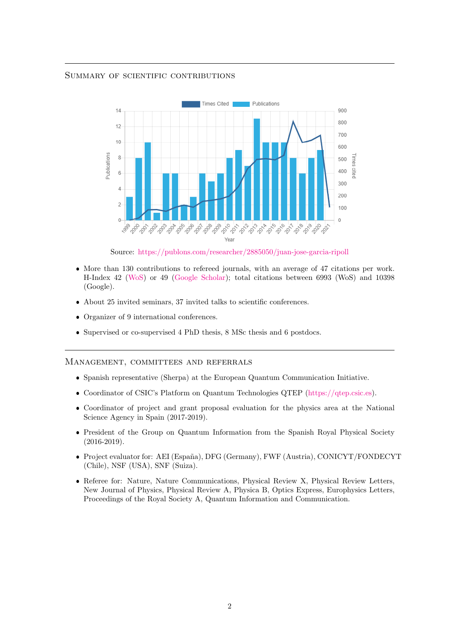### Summary of scientific contributions



Source: [https://publons.com/researcher/2885050/juan-jose-garcia-ripoll](https://publons.com/researcher/2885050/juan-jose-garcia-ripoll/metrics/)

- More than 130 contributions to refereed journals, with an average of 47 citations per work. H-Index 42 [\(WoS\)](https://publons.com/researcher/2885050/juan-jose-garcia-ripoll/metrics) or 49 [\(Google Scholar\)](https://scholar.google.com/citations?user=qiByNwYAAAAJ&hl=en); total citations between 6993 (WoS) and 10398 (Google).
- About 25 invited seminars, 37 invited talks to scientific conferences.
- Organizer of 9 international conferences.
- Supervised or co-supervised 4 PhD thesis, 8 MSc thesis and 6 postdocs.

### Management, committees and referrals

- Spanish representative (Sherpa) at the European Quantum Communication Initiative.
- Coordinator of CSIC's Platform on Quantum Technologies QTEP [\(https://qtep.csic.es\)](https://qtep.csic.es).
- Coordinator of project and grant proposal evaluation for the physics area at the National Science Agency in Spain (2017-2019).
- President of the Group on Quantum Information from the Spanish Royal Physical Society (2016-2019).
- Project evaluator for: AEI (España), DFG (Germany), FWF (Austria), CONICYT/FONDECYT (Chile), NSF (USA), SNF (Suiza).
- Referee for: Nature, Nature Communications, Physical Review X, Physical Review Letters, New Journal of Physics, Physical Review A, Physica B, Optics Express, Europhysics Letters, Proceedings of the Royal Society A, Quantum Information and Communication.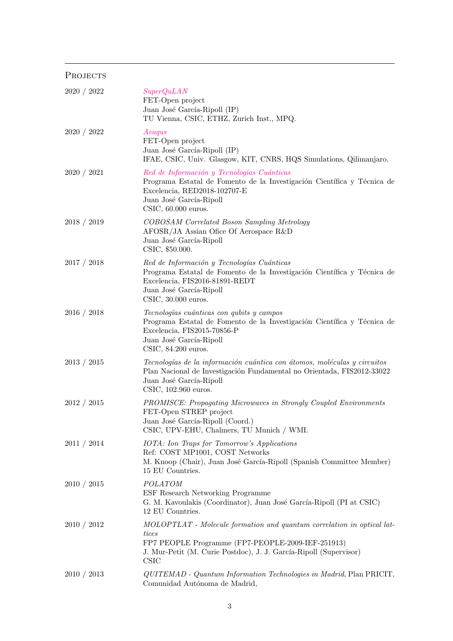# PROJECTS

| 2020 / 2022 | SuperQuLAN<br>FET-Open project<br>Juan José García-Ripoll (IP)<br>TU Vienna, CSIC, ETHZ, Zurich Inst., MPQ.                                                                                                              |
|-------------|--------------------------------------------------------------------------------------------------------------------------------------------------------------------------------------------------------------------------|
| 2020 / 2022 | Avagus<br>FET-Open project<br>Juan José García-Ripoll (IP)<br>IFAE, CSIC, Univ. Glasgow, KIT, CNRS, HQS Simulations, Qilimanjaro.                                                                                        |
| 2020 / 2021 | Red de Información y Tecnologías Cuánticas<br>Programa Estatal de Fomento de la Investigación Científica y Técnica de<br>Excelencia, RED2018-102707-E<br>Juan José García-Ripoll<br>$CSIC$ , 60.000 euros.               |
| 2018 / 2019 | COBOSAM Correlated Boson Sampling Metrology<br>AFOSR/JA Assian Ofice Of Aerospace R&D<br>Juan José García-Ripoll<br>CSIC, \$50.000.                                                                                      |
| 2017 / 2018 | Red de Información y Tecnologías Cuánticas<br>Programa Estatal de Fomento de la Investigación Científica y Técnica de<br>Excelencia, FIS2016-81891-REDT<br>Juan José García-Ripoll<br>$CSIC$ , 30.000 euros.             |
| 2016 / 2018 | Tecnologías cuánticas con qubits y campos<br>Programa Estatal de Fomento de la Investigación Científica y Técnica de<br>Excelencia, FIS2015-70856-P<br>Juan José García-Ripoll<br>$CSIC$ , $84.200$ euros.               |
| 2013 / 2015 | Tecnologías de la información cuántica con átomos, moléculas y circuitos<br>Plan Nacional de Investigación Fundamental no Orientada, FIS2012-33022<br>Juan José García-Ripoll<br>CSIC, 102.960 euros.                    |
| 2012 / 2015 | <b>PROMISCE: Propagating Microwaves in Strongly Coupled Environments</b><br>FET-Open STREP project<br>Juan José García-Ripoll (Coord.)<br>CSIC, UPV-EHU, Chalmers, TU Munich / WMI.                                      |
| 2011 / 2014 | <b>IOTA</b> : Ion Traps for Tomorrow's Applications<br>Ref: COST MP1001, COST Networks<br>M. Knoop (Chair), Juan José García-Ripoll (Spanish Committee Member)<br>15 EU Countries.                                       |
| 2010 / 2015 | POLATOM<br>ESF Research Networking Programme<br>G. M. Kavoulakis (Coordinator), Juan José García-Ripoll (PI at CSIC)<br>12 EU Countries.                                                                                 |
| 2010 / 2012 | MOLOPTLAT - Molecule formation and quantum correlation in optical lat-<br>tices<br>FP7 PEOPLE Programme (FP7-PEOPLE-2009-IEF-251913)<br>J. Mur-Petit (M. Curie Postdoc), J. J. García-Ripoll (Supervisor)<br><b>CSIC</b> |
| 2010 / 2013 | QUITEMAD - Quantum Information Technologies in Madrid, Plan PRICIT,<br>Comunidad Autónoma de Madrid,                                                                                                                     |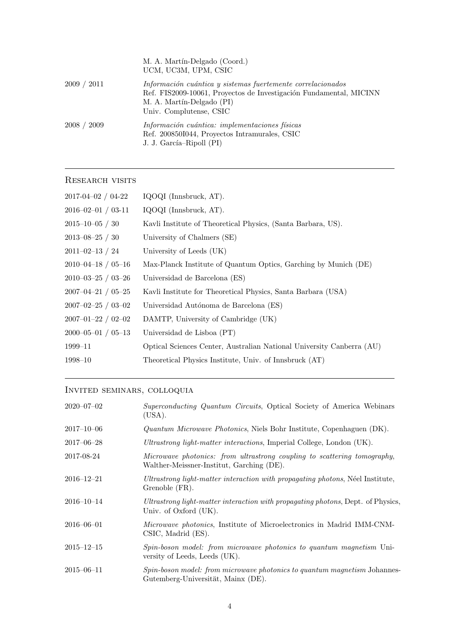|              | M. A. Martín-Delgado (Coord.)<br>UCM, UC3M, UPM, CSIC                                                                                                                                     |
|--------------|-------------------------------------------------------------------------------------------------------------------------------------------------------------------------------------------|
| 2009<br>2011 | Información cuántica y sistemas fuertemente correlacionados<br>Ref. FIS2009-10061, Proyectos de Investigación Fundamental, MICINN<br>M. A. Martín-Delgado (PI)<br>Univ. Complutense, CSIC |
| 2008 / 2009  | Información cuántica: implementaciones físicas<br>Ref. 200850I044, Proyectos Intramurales, CSIC<br>J. J. García–Ripoll (PI)                                                               |

# RESEARCH VISITS

| $2017 - 04 - 02 / 04 - 22$ | IQOQI (Innsbruck, AT).                                                |
|----------------------------|-----------------------------------------------------------------------|
| $2016 - 02 - 01 / 03 - 11$ | IQOQI (Innsbruck, AT).                                                |
| $2015 - 10 - 05 / 30$      | Kavli Institute of Theoretical Physics, (Santa Barbara, US).          |
| $2013 - 08 - 25 / 30$      | University of Chalmers (SE)                                           |
| $2011 - 02 - 13 / 24$      | University of Leeds (UK)                                              |
| $2010 - 04 - 18 / 05 - 16$ | Max-Planck Institute of Quantum Optics, Garching by Munich (DE)       |
| $2010 - 03 - 25 / 03 - 26$ | Universidad de Barcelona (ES)                                         |
| $2007 - 04 - 21 / 05 - 25$ | Kavli Institute for Theoretical Physics, Santa Barbara (USA)          |
| $2007 - 02 - 25 / 03 - 02$ | Universidad Autónoma de Barcelona (ES)                                |
| $2007 - 01 - 22 / 02 - 02$ | DAMTP, University of Cambridge (UK)                                   |
| $2000 - 05 - 01 / 05 - 13$ | Universidad de Lisboa (PT)                                            |
| 1999–11                    | Optical Sciences Center, Australian National University Canberra (AU) |
| 1998–10                    | Theoretical Physics Institute, Univ. of Innsbruck (AT)                |
|                            |                                                                       |

# Invited seminars, colloquia

| $2020 - 07 - 02$ | Superconducting Quantum Circuits, Optical Society of America Webinars<br>(USA).                                        |
|------------------|------------------------------------------------------------------------------------------------------------------------|
| $2017 - 10 - 06$ | <i>Quantum Microwave Photonics</i> , Niels Bohr Institute, Copenhaguen (DK).                                           |
| $2017 - 06 - 28$ | Ultrastrong light-matter interactions, Imperial College, London (UK).                                                  |
| 2017-08-24       | Microwave photonics: from ultrastrong coupling to scattering tomography,<br>Walther-Meissner-Institut, Garching (DE).  |
| $2016 - 12 - 21$ | Ultrastrong light-matter interaction with propagating photons, Néel Institute,<br>Grenoble (FR).                       |
| $2016 - 10 - 14$ | Ultrastrong light-matter interaction with propagating photons, Dept. of Physics,<br>Univ. of Oxford (UK).              |
| $2016 - 06 - 01$ | <i>Microwave photonics</i> , Institute of Microelectronics in Madrid IMM-CNM-<br>CSIC, Madrid (ES).                    |
| $2015 - 12 - 15$ | Spin-boson model: from microwave photonics to quantum magnetism Uni-<br>versity of Leeds, Leeds (UK).                  |
| $2015 - 06 - 11$ | <i>Spin-boson model: from microwave photonics to quantum magnetism Johannes-</i><br>Gutemberg-Universität, Mainx (DE). |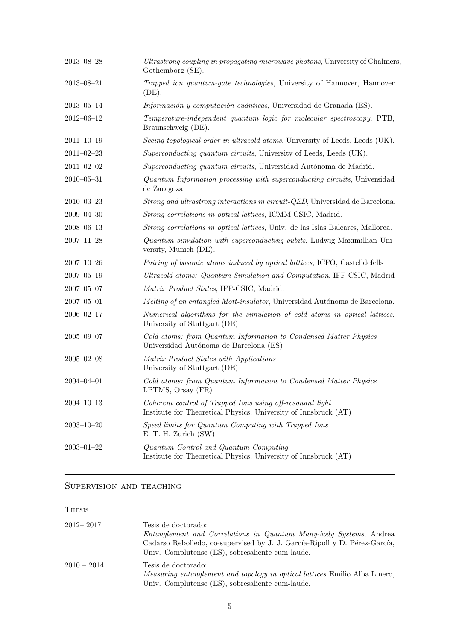| $2013\hbox{--}08\hbox{--}28$ | Ultrastrong coupling in propagating microwave photons, University of Chalmers,<br>Gothemborg (SE).                           |
|------------------------------|------------------------------------------------------------------------------------------------------------------------------|
| $2013 - 08 - 21$             | Trapped ion quantum-gate technologies, University of Hannover, Hannover<br>(DE).                                             |
| $2013 - 05 - 14$             | Información y computación cuánticas, Universidad de Granada (ES).                                                            |
| $2012 - 06 - 12$             | Temperature-independent quantum logic for molecular spectroscopy, PTB,<br>Braunschweig (DE).                                 |
| $2011 - 10 - 19$             | Seeing topological order in ultracold atoms, University of Leeds, Leeds (UK).                                                |
| $2011 - 02 - 23$             | Superconducting quantum circuits, University of Leeds, Leeds (UK).                                                           |
| $2011 - 02 - 02$             | Superconducting quantum circuits, Universidad Autónoma de Madrid.                                                            |
| $2010 - 05 - 31$             | Quantum Information processing with superconducting circuits, Universidad<br>de Zaragoza.                                    |
| $2010 - 03 - 23$             | Strong and ultrastrong interactions in circuit-QED, Universidad de Barcelona.                                                |
| $2009 - 04 - 30$             | Strong correlations in optical lattices, ICMM-CSIC, Madrid.                                                                  |
| $2008 - 06 - 13$             | Strong correlations in optical lattices, Univ. de las Islas Baleares, Mallorca.                                              |
| $2007 - 11 - 28$             | Quantum simulation with superconducting qubits, Ludwig-Maximillian Uni-<br>versity, Munich (DE).                             |
| $2007 - 10 - 26$             | Pairing of bosonic atoms induced by optical lattices, ICFO, Castelldefells                                                   |
| $2007 - 05 - 19$             | Ultracold atoms: Quantum Simulation and Computation, IFF-CSIC, Madrid                                                        |
| $2007 - 05 - 07$             | Matrix Product States, IFF-CSIC, Madrid.                                                                                     |
| $2007 - 05 - 01$             | Melting of an entangled Mott-insulator, Universidad Autónoma de Barcelona.                                                   |
| $2006 - 02 - 17$             | Numerical algorithms for the simulation of cold atoms in optical lattices,<br>University of Stuttgart (DE)                   |
| $2005 - 09 - 07$             | Cold atoms: from Quantum Information to Condensed Matter Physics<br>Universidad Autónoma de Barcelona (ES)                   |
| $2005 - 02 - 08$             | Matrix Product States with Applications<br>University of Stuttgart (DE)                                                      |
| $2004 - 04 - 01$             | Cold atoms: from Quantum Information to Condensed Matter Physics<br>LPTMS, Orsay (FR)                                        |
| $2004 - 10 - 13$             | Coherent control of Trapped Ions using off-resonant light<br>Institute for Theoretical Physics, University of Innsbruck (AT) |
| $2003 - 10 - 20$             | Speed limits for Quantum Computing with Trapped Ions<br>E. T. H. Zürich (SW)                                                 |
| $2003 - 01 - 22$             | Quantum Control and Quantum Computing<br>Institute for Theoretical Physics, University of Innsbruck (AT)                     |

# Supervision and teaching

## Thesis

| $2012 - 2017$ | Tesis de doctorado:                                                                |
|---------------|------------------------------------------------------------------------------------|
|               | Entanglement and Correlations in Quantum Many-body Systems, Andrea                 |
|               | Cadarso Rebolledo, co-supervised by J. J. García-Ripoll y D. Pérez-García,         |
|               | Univ. Complutense (ES), sobresaliente cum-laude.                                   |
| $2010 - 2014$ | Tesis de doctorado:                                                                |
|               | <i>Measuring entanglement and topology in optical lattices</i> Emilio Alba Linero, |
|               | Univ. Complutense (ES), sobresaliente cum-laude.                                   |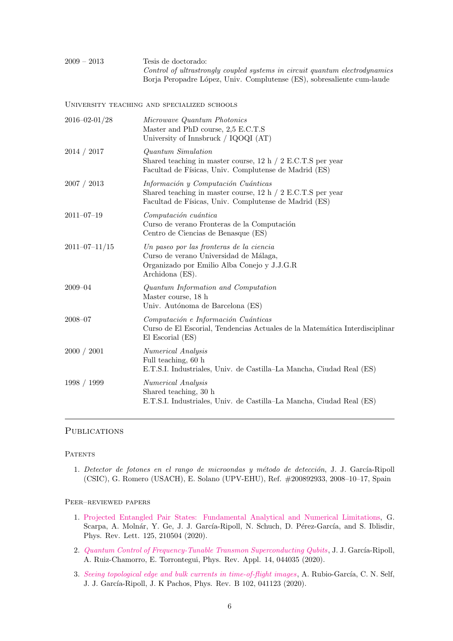2009 – 2013 Tesis de doctorado: Control of ultrastrongly coupled systems in circuit quantum electrodynamics Borja Peropadre López, Univ. Complutense (ES), sobresaliente cum-laude

University teaching and specialized schools

| $2016 - 02 - 01/28$ | Microwave Quantum Photonics<br>Master and PhD course, 2,5 E.C.T.S<br>University of Innsbruck / IQOQI (AT)                                                     |
|---------------------|---------------------------------------------------------------------------------------------------------------------------------------------------------------|
| 2014 / 2017         | Quantum Simulation<br>Shared teaching in master course, $12 h / 2 E.C.T.S$ per year<br>Facultad de Físicas, Univ. Complutense de Madrid (ES)                  |
| 2007 / 2013         | Información y Computación Cuánticas<br>Shared teaching in master course, $12 h / 2 E.C.T.S$ per year<br>Facultad de Físicas, Univ. Complutense de Madrid (ES) |
| $2011 - 07 - 19$    | Computación cuántica<br>Curso de verano Fronteras de la Computación<br>Centro de Ciencias de Benasque (ES)                                                    |
| $2011 - 07 - 11/15$ | Un paseo por las fronteras de la ciencia<br>Curso de verano Universidad de Málaga,<br>Organizado por Emilio Alba Conejo y J.J.G.R<br>Archidona (ES).          |
| $2009 - 04$         | Quantum Information and Computation<br>Master course, 18 h<br>Univ. Autónoma de Barcelona (ES)                                                                |
| $2008 - 07$         | Computación e Información Cuánticas<br>Curso de El Escorial, Tendencias Actuales de la Matemática Interdisciplinar<br>El Escorial (ES)                        |
| 2000 / 2001         | <b>Numerical Analysis</b><br>Full teaching, 60 h<br>E.T.S.I. Industriales, Univ. de Castilla–La Mancha, Ciudad Real (ES)                                      |
| 1998 / 1999         | <b>Numerical Analysis</b><br>Shared teaching, 30 h<br>E.T.S.I. Industriales, Univ. de Castilla–La Mancha, Ciudad Real (ES)                                    |
|                     |                                                                                                                                                               |

### **PUBLICATIONS**

**PATENTS** 

1. Detector de fotones en el rango de microondas y método de detección, J. J. García-Ripoll (CSIC), G. Romero (USACH), E. Solano (UPV-EHU), Ref. #200892933, 2008–10–17, Spain

### Peer–reviewed papers

- 1. [Projected Entangled Pair States: Fundamental Analytical and Numerical Limitations,](http://dx.doi.org/doi.org/10.1103/PHYSREVLETT.125.210504) G. Scarpa, A. Molnár, Y. Ge, J. J. García-Ripoll, N. Schuch, D. Pérez-García, and S. Iblisdir, Phys. Rev. Lett. 125, 210504 (2020).
- 2. [Quantum Control of Frequency-Tunable Transmon Superconducting Qubits](http://dx.doi.org/doi.org/10.1103/PHYSREVAPPLIED.14.044035), J. J. García-Ripoll, A. Ruiz-Chamorro, E. Torrontegui, Phys. Rev. Appl. 14, 044035 (2020).
- 3. [Seeing topological edge and bulk currents in time-of-flight images](http://dx.doi.org/10.1103/PhysRevB.102.041123), A. Rubio-García, C. N. Self, J. J. García-Ripoll, J. K Pachos, Phys. Rev. B 102, 041123 (2020).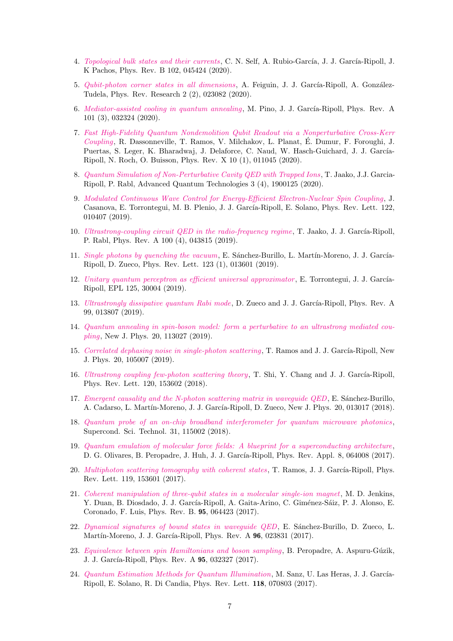- 4. [Topological bulk states and their currents](http://dx.doi.org/10.1103/PhysRevB.102.045424), C. N. Self, A. Rubio-García, J. J. García-Ripoll, J. K Pachos, Phys. Rev. B 102, 045424 (2020).
- 5. [Qubit-photon corner states in all dimensions](http://dx.doi.org/10.1103/PhysRevResearch.2.023082), A. Feiguin, J. J. García-Ripoll, A. González-Tudela, Phys. Rev. Research 2 (2), 023082 (2020).
- 6. [Mediator-assisted cooling in quantum annealing](http://dx.doi.org/10.1103/PhysRevA.101.032324), M. Pino, J. J. García-Ripoll, Phys. Rev. A 101 (3), 032324 (2020).
- 7. [Fast High-Fidelity Quantum Nondemolition Qubit Readout via a Nonperturbative Cross-Kerr](http://dx.doi.org/10.1103/PhysRevX.10.011045) [Coupling](http://dx.doi.org/10.1103/PhysRevX.10.011045), R. Dassonneville, T. Ramos, V. Milchakov, L. Planat, E. Dumur, F. Foroughi, J. ´ Puertas, S. Leger, K. Bharadwaj, J. Delaforce, C. Naud, W. Hasch-Guichard, J. J. García-Ripoll, N. Roch, O. Buisson, Phys. Rev. X 10 (1), 011045 (2020).
- 8. [Quantum Simulation of Non-Perturbative Cavity QED with Trapped Ions](http://dx.doi.org/10.1002/qute.201900125) , T. Jaako, J.J. Garcia-Ripoll, P. Rabl, Advanced Quantum Technologies 3 (4), 1900125 (2020).
- 9. [Modulated Continuous Wave Control for Energy-Efficient Electron-Nuclear Spin Coupling](http://dx.doi.org/10.1103/PhysRevLett.122.010407), J. Casanova, E. Torrontegui, M. B. Plenio, J. J. García-Ripoll, E. Solano, Phys. Rev. Lett. 122, 010407 (2019).
- 10. [Ultrastrong-coupling circuit QED in the radio-frequency regime](http://dx.doi.org/10.1103/PhysRevA.100.043815), T. Jaako, J. J. García-Ripoll, P. Rabl, Phys. Rev. A 100 (4), 043815 (2019).
- 11. [Single photons by quenching the vacuum](http://dx.doi.org/10.1103/PhysRevLett.123.013601), E. Sánchez-Burillo, L. Martín-Moreno, J. J. García-Ripoll, D. Zueco, Phys. Rev. Lett. 123 (1), 013601 (2019).
- 12. [Unitary quantum perceptron as efficient universal approximator](http://dx.doi.org/10.1209/0295-5075/125/30004), E. Torrontegui, J. J. García-Ripoll, EPL 125, 30004 (2019).
- 13. [Ultrastrongly dissipative quantum Rabi mode](http://dx.doi.org/10.1103/PhysRevA.99.013807), D. Zueco and J. J. García-Ripoll, Phys. Rev. A 99, 013807 (2019).
- 14. [Quantum annealing in spin-boson model: form a perturbative to an ultrastrong mediated cou](http://dx.doi.org/10.1088/1367-2630/aaeeea)[pling](http://dx.doi.org/10.1088/1367-2630/aaeeea), New J. Phys. 20, 113027 (2019).
- 15. [Correlated dephasing noise in single-photon scattering](http://dx.doi.org/10.1088/1367-2630/aae73b), T. Ramos and J. J. García-Ripoll, New J. Phys. 20, 105007 (2019).
- 16. [Ultrastrong coupling few-photon scattering theory](http://dx.doi.org/10.1103/PhysRevLett.120.153602), T. Shi, Y. Chang and J. J. García-Ripoll, Phys. Rev. Lett. 120, 153602 (2018).
- 17. [Emergent causality and the N-photon scattering matrix in waveguide QED](http://dx.doi.org/10.1088/1367-2630/aa9cc2), E. Sánchez-Burillo, A. Cadarso, L. Martín-Moreno, J. J. García-Ripoll, D. Zueco, New J. Phys. 20, 013017 (2018).
- 18. [Quantum probe of an on-chip broadband interferometer for quantum microwave photonics](http://dx.doi.org/10.1088/1361-6668/aad8f4), Supercond. Sci. Technol. 31, 115002 (2018).
- 19. [Quantum emulation of molecular force fields: A blueprint for a superconducting architecture](http://dx.doi.org/10.1103/PhysRevLett.119.153601), D. G. Olivares, B. Peropadre, J. Huh, J. J. García-Ripoll, Phys. Rev. Appl. 8, 064008 (2017).
- 20. [Multiphoton scattering tomography with coherent states](http://dx.doi.org/10.1103/PhysRevLett.119.153601), T. Ramos, J. J. García-Ripoll, Phys. Rev. Lett. 119, 153601 (2017).
- 21. [Coherent manipulation of three-qubit states in a molecular single-ion magnet](http://dx.doi.org/10.1103/PhysRevB.95.064423), M. D. Jenkins, Y. Duan, B. Diosdado, J. J. García-Ripoll, A. Gaita-Arino, C. Giménez-Sáiz, P. J. Alonso, E. Coronado, F. Luis, Phys. Rev. B. 95, 064423 (2017).
- 22. [Dynamical signatures of bound states in waveguide QED](http://dx.doi.org/10.1103/PhysRevA.96.023831), E. Sánchez-Burillo, D. Zueco, L. Martín-Moreno, J. J. García-Ripoll, Phys. Rev. A 96, 023831 (2017).
- 23. [Equivalence between spin Hamiltonians and boson sampling](http://dx.doi.org/10.1103/PhysRevA.95.032327), B. Peropadre, A. Aspuru-Gúzik, J. J. García-Ripoll, Phys. Rev. A 95, 032327 (2017).
- 24. [Quantum Estimation Methods for Quantum Illumination](http://dx.doi.org/10.1103/PhysRevLett.118.070803), M. Sanz, U. Las Heras, J. J. García-Ripoll, E. Solano, R. Di Candia, Phys. Rev. Lett. 118, 070803 (2017).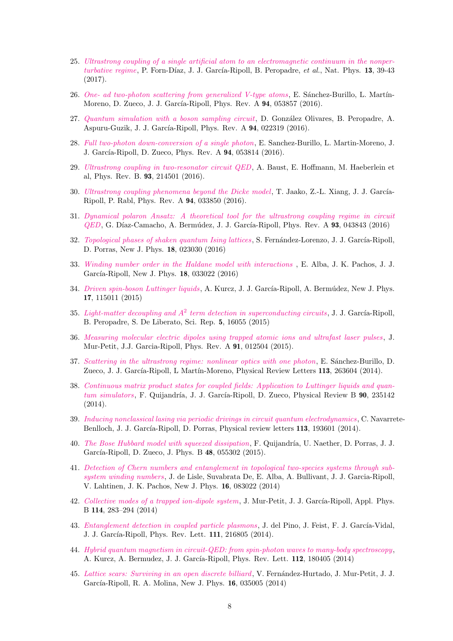- 25. [Ultrastrong coupling of a single artificial atom to an electromagnetic continuum in the nonper](http://dx.doi.org/10.1038/nphys3905)[turbative regime](http://dx.doi.org/10.1038/nphys3905), P. Forn-Díaz, J. J. García-Ripoll, B. Peropadre, et al., Nat. Phys. 13, 39-43 (2017).
- 26. [One- ad two-photon scattering from generalized V-type atoms](http://dx.doi.org/10.1103/PhysRevA.94.053857), E. Sánchez-Burillo, L. Martín-Moreno, D. Zueco, J. J. García-Ripoll, Phys. Rev. A 94, 053857 (2016).
- 27. [Quantum simulation with a boson sampling circuit](http://dx.doi.org/10.1103/PhysRevA.94.053857), D. González Olivares, B. Peropadre, A. Aspuru-Guzik, J. J. García-Ripoll, Phys. Rev. A **94**, 022319 (2016).
- 28. [Full two-photon down-conversion of a single photon](http://dx.doi.org/10.1103/PhysRevA.94.053814), E. Sanchez-Burillo, L. Martin-Moreno, J. J. García-Ripoll, D. Zueco, Phys. Rev. A **94**, 053814 (2016).
- 29. [Ultrastrong coupling in two-resonator circuit QED](http://dx.doi.org/10.1103/PhysRevB.94.214501), A. Baust, E. Hoffmann, M. Haeberlein et al, Phys. Rev. B. 93, 214501 (2016).
- 30. [Ultrastrong coupling phenomena beyond the Dicke model](http://dx.doi.org/10.1103/PhysRevA.94.033850), T. Jaako, Z.-L. Xiang, J. J. García-Ripoll, P. Rabl, Phys. Rev. A 94, 033850 (2016).
- 31. [Dynamical polaron Ansatz: A theoretical tool for the ultrastrong coupling regime in circuit](http://dx.doi.org/10.1103/PhysRevA.93.043843) [QED](http://dx.doi.org/10.1103/PhysRevA.93.043843), G. D´ıaz-Camacho, A. Berm´udez, J. J. Garc´ıa-Ripoll, Phys. Rev. A 93, 043843 (2016)
- 32. [Topological phases of shaken quantum Ising lattices](http://dx.doi.org/10.1088/1367-2630/18/2/023030), S. Fernández-Lorenzo, J. J. García-Ripoll, D. Porras, New J. Phys. 18, 023030 (2016)
- 33. [Winding number order in the Haldane model with interactions](http://dx.doi.org/10.1088/1367-2630/18/3/033022 ) , E. Alba, J. K. Pachos, J. J. García-Ripoll, New J. Phys. 18, 033022 (2016)
- 34. [Driven spin-boson Luttinger liquids](http://dx.doi.org/10.1088/1367-2630/17/11/115011), A. Kurcz, J. J. García-Ripoll, A. Bermúdez, New J. Phys. 17, 115011 (2015)
- 35. Light-matter decoupling and  $A^2$  [term detection in superconducting circuits](http://dx.doi.org/10.1038/srep16055), J. J. García-Ripoll, B. Peropadre, S. De Liberato, Sci. Rep. 5, 16055 (2015)
- 36. [Measuring molecular electric dipoles using trapped atomic ions and ultrafast laser pulses](http://dx.doi.org/10.1103/PhysRevA.91.012504) , J. Mur-Petit, J.J. Garcia-Ripoll, Phys. Rev. A 91, 012504 (2015).
- 37. [Scattering in the ultrastrong regime: nonlinear optics with one photon](http://dx.doi.org/10.1103/PhysRevLett.113.263604), E. Sánchez-Burillo, D. Zueco, J. J. García-Ripoll, L Martín-Moreno, Physical Review Letters 113, 263604 (2014).
- 38. [Continuous matrix product states for coupled fields: Application to Luttinger liquids and quan](http://dx.doi.org/10.1103/PhysRevB.90.235142)[tum simulators](http://dx.doi.org/10.1103/PhysRevB.90.235142), F. Quijandría, J. J. García-Ripoll, D. Zueco, Physical Review B 90, 235142 (2014).
- 39. [Inducing nonclassical lasing via periodic drivings in circuit quantum electrodynamics](http://dx.doi.org/10.1103/PhysRevLett.113.193601) , C. Navarrete-Benlloch, J. J. García-Ripoll, D. Porras, Physical review letters 113, 193601 (2014).
- 40. [The Bose Hubbard model with squeezed dissipation](http://dx.doi.org/10.1088/0953-4075/48/5/055302), F. Quijandría, U. Naether, D. Porras, J. J. García-Ripoll, D. Zueco, J. Phys. B 48, 055302 (2015).
- 41. [Detection of Chern numbers and entanglement in topological two-species systems through sub](http://dx.doi.org/10.1088/1367-2630/16/8/083022)[system winding numbers](http://dx.doi.org/10.1088/1367-2630/16/8/083022), J. de Lisle, Suvabrata De, E. Alba, A. Bullivant, J. J. Garcia-Ripoll, V. Lahtinen, J. K. Pachos, New J. Phys. 16, 083022 (2014)
- 42. [Collective modes of a trapped ion-dipole system](http://dx.doi.org/10.1007/s00340-013-5705-x), J. Mur-Petit, J. J. García-Ripoll, Appl. Phys. B 114, 283–294 (2014)
- 43. [Entanglement detection in coupled particle plasmons](http://dx.doi.org/10.1103/PhysRevLett.112.216805), J. del Pino, J. Feist, F. J. García-Vidal, J. J. García-Ripoll, Phys. Rev. Lett. 111, 216805 (2014).
- 44. [Hybrid quantum magnetism in circuit-QED: from spin-photon waves to many-body spectroscopy](http://dx.doi.org/10.1103/PhysRevLett.112.180405), A. Kurcz, A. Bermudez, J. J. García-Ripoll, Phys. Rev. Lett. **112**, 180405 (2014)
- 45. [Lattice scars: Surviving in an open discrete billiard](http://dx.doi.org/10.1088/1367-2630/16/3/035005), V. Fernández-Hurtado, J. Mur-Petit, J. J. García-Ripoll, R. A. Molina, New J. Phys. 16, 035005 (2014)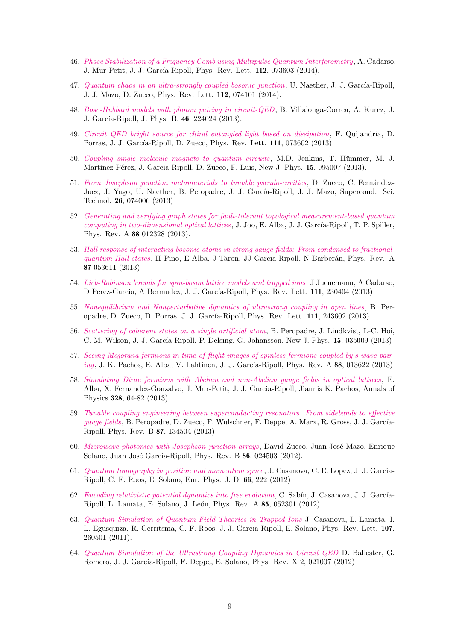- 46. [Phase Stabilization of a Frequency Comb using Multipulse Quantum Interferometry](http://dx.doi.org/10.1103/PhysRevLett.112.073603), A. Cadarso, J. Mur-Petit, J. J. García-Ripoll, Phys. Rev. Lett. 112, 073603 (2014).
- 47. [Quantum chaos in an ultra-strongly coupled bosonic junction](http://dx.doi.org/10.1103/PhysRevLett.112.074101), U. Naether, J. J. García-Ripoll, J. J. Mazo, D. Zueco, Phys. Rev. Lett. 112, 074101 (2014).
- 48. [Bose-Hubbard models with photon pairing in circuit-QED](http://dx.doi.org/10.1088/0953-4075/46/22/224024), B. Villalonga-Correa, A. Kurcz, J. J. García-Ripoll, J. Phys. B. 46, 224024 (2013).
- 49. [Circuit QED bright source for chiral entangled light based on dissipation](http://dx.doi.org/10.1103/PhysRevLett.111.073602), F. Quijandría, D. Porras, J. J. García-Ripoll, D. Zueco, Phys. Rev. Lett. 111, 073602 (2013).
- 50. [Coupling single molecule magnets to quantum circuits](http://dx.doi.org/10.1088/1367-2630/15/9/095007), M.D. Jenkins, T. Hümmer, M. J. Martínez-Pérez, J. García-Ripoll, D. Zueco, F. Luis, New J. Phys. 15, 095007 (2013).
- 51. [From Josephson junction metamaterials to tunable pseudo-cavities](http://dx.doi.org/10.1088/0953-2048/26/7/074006), D. Zueco, C. Fernández-Juez, J. Yago, U. Naether, B. Peropadre, J. J. García-Ripoll, J. J. Mazo, Supercond. Sci. Technol. 26, 074006 (2013)
- 52. [Generating and verifying graph states for fault-tolerant topological measurement-based quantum](http://dx.doi.org/10.1103/PhysRevA.88.012328) [computing in two-dimensional optical lattices](http://dx.doi.org/10.1103/PhysRevA.88.012328), J. Joo, E. Alba, J. J. García-Ripoll, T. P. Spiller, Phys. Rev. A 88 012328 (2013).
- 53. [Hall response of interacting bosonic atoms in strong gauge fields: From condensed to fractional](http://dx.doi.org/10.1103/PhysRevA.87.053611)[quantum-Hall states](http://dx.doi.org/10.1103/PhysRevA.87.053611), H Pino, E Alba, J Taron, JJ Garcia-Ripoll, N Barberán, Phys. Rev. A 87 053611 (2013)
- 54. [Lieb-Robinson bounds for spin-boson lattice models and trapped ions](http://dx.doi.org/10.1103/PhysRevLett.111.230404), J Juenemann, A Cadarso, D Perez-Garcia, A Bermudez, J. J. García-Ripoll, Phys. Rev. Lett. 111, 230404 (2013)
- 55. [Nonequilibrium and Nonperturbative dynamics of ultrastrong coupling in open lines](http://dx.doi.org/10.1103/PhysRevLett.111.243602), B. Peropadre, D. Zueco, D. Porras, J. J. García-Ripoll, Phys. Rev. Lett. 111, 243602 (2013).
- 56. [Scattering of coherent states on a single artificial atom](http://dx.doi.org/10.1088/1367-2630/15/3/035009), B. Peropadre, J. Lindkvist, I.-C. Hoi, C. M. Wilson, J. J. García-Ripoll, P. Delsing, G. Johansson, New J. Phys. 15, 035009 (2013)
- 57. [Seeing Majorana fermions in time-of-flight images of spinless fermions coupled by s-wave pair](http://dx.doi.org/10.1103/PhysRevA.88.013622)[ing](http://dx.doi.org/10.1103/PhysRevA.88.013622), J. K. Pachos, E. Alba, V. Lahtinen, J. J. García-Ripoll, Phys. Rev. A 88, 013622 (2013)
- 58. [Simulating Dirac fermions with Abelian and non-Abelian gauge fields in optical lattices](http://dx.doi.org/10.1016/j.aop.2012.10.005) , E. Alba, X. Fernandez-Gonzalvo, J. Mur-Petit, J. J. Garcia-Ripoll, Jiannis K. Pachos, Annals of Physics 328, 64-82 (2013)
- 59. [Tunable coupling engineering between superconducting resonators: From sidebands to effective](http://dx.doi.org/10.1103/PhysRevB.87.134504) [gauge fields](http://dx.doi.org/10.1103/PhysRevB.87.134504), B. Peropadre, D. Zueco, F. Wulschner, F. Deppe, A. Marx, R. Gross, J. J. García-Ripoll, Phys. Rev. B 87, 134504 (2013)
- 60. [Microwave photonics with Josephson junction arrays](http://dx.doi.org/10.1103/PhysRevB.86.024503), David Zueco, Juan José Mazo, Enrique Solano, Juan José García-Ripoll, Phys. Rev. B 86, 024503 (2012).
- 61. [Quantum tomography in position and momentum space](http://dx.doi.org/10.1140/epjd/e2012-30016-6), J. Casanova, C. E. Lopez, J. J. Garcia-Ripoll, C. F. Roos, E. Solano, Eur. Phys. J. D. 66, 222 (2012)
- 62. [Encoding relativistic potential dynamics into free evolution](http://dx.doi.org/10.1103/PhysRevA.85.052301), C. Sabín, J. Casanova, J. J. García-Ripoll, L. Lamata, E. Solano, J. León, Phys. Rev. A 85, 052301 (2012)
- 63. [Quantum Simulation of Quantum Field Theories in Trapped Ions](http://dx.doi.org/10.1103/PhysRevLett.107.260501) J. Casanova, L. Lamata, I. L. Egusquiza, R. Gerritsma, C. F. Roos, J. J. Garcia-Ripoll, E. Solano, Phys. Rev. Lett. 107, 260501 (2011).
- 64. [Quantum Simulation of the Ultrastrong Coupling Dynamics in Circuit QED](http://dx.doi.org/10.1103/PhysRevX.2.021007) D. Ballester, G. Romero, J. J. García-Ripoll, F. Deppe, E. Solano, Phys. Rev. X 2, 021007 (2012)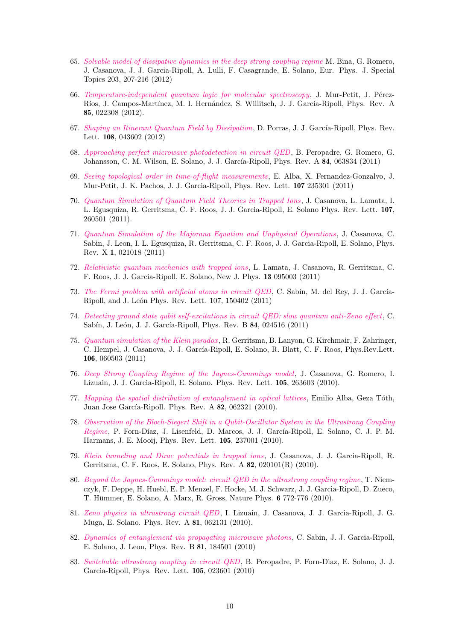- 65. [Solvable model of dissipative dynamics in the deep strong coupling regime](http://dx.doi.org/10.1140/epjst/e2012-01544-0) M. Bina, G. Romero, J. Casanova, J. J. Garcia-Ripoll, A. Lulli, F. Casagrande, E. Solano, Eur. Phys. J. Special Topics 203, 207-216 (2012)
- 66. [Temperature-independent quantum logic for molecular spectroscopy](http://dx.doi.org/10.1103/PhysRevA.85.022308), J. Mur-Petit, J. Pérez-Ríos, J. Campos-Martínez, M. I. Hernández, S. Willitsch, J. J. García-Ripoll, Phys. Rev. A 85, 022308 (2012).
- 67. [Shaping an Itinerant Quantum Field by Dissipation](http://dx.doi.org/10.1103/PhysRevLett.108.043602), D. Porras, J. J. García-Ripoll, Phys. Rev. Lett. 108, 043602 (2012)
- 68. [Approaching perfect microwave photodetection in circuit QED](http://dx.doi.org/10.1103/PhysRevA.84.063834), B. Peropadre, G. Romero, G. Johansson, C. M. Wilson, E. Solano, J. J. García-Ripoll, Phys. Rev. A 84, 063834 (2011)
- 69. [Seeing topological order in time-of-flight measurements](http://dx.doi.org/10.1103/PhysRevLett.107.235301), E. Alba, X. Fernandez-Gonzalvo, J. Mur-Petit, J. K. Pachos, J. J. Garcia-Ripoll, Phys. Rev. Lett. 107 235301 (2011)
- 70. [Quantum Simulation of Quantum Field Theories in Trapped Ions](http://dx.doi.org/10.1103/PhysRevLett.107.260501) , J. Casanova, L. Lamata, I. L. Egusquiza, R. Gerritsma, C. F. Roos, J. J. Garcia-Ripoll, E. Solano Phys. Rev. Lett. 107, 260501 (2011).
- 71. [Quantum Simulation of the Majorana Equation and Unphysical Operations](http://dx.doi.org/10.1103/PhysRevX.1.021018) , J. Casanova, C. Sabin, J. Leon, I. L. Egusquiza, R. Gerritsma, C. F. Roos, J. J. Garcia-Ripoll, E. Solano, Phys. Rev. X 1, 021018 (2011)
- 72. [Relativistic quantum mechanics with trapped ions](http://dx.doi.org/10.1088/1367-2630/13/9/095003), L. Lamata, J. Casanova, R. Gerritsma, C. F. Roos, J. J. Garcia-Ripoll, E. Solano, New J. Phys. 13 095003 (2011)
- 73. [The Fermi problem with artificial atoms in circuit QED](http://dx.doi.org/10.1103/PhysRevLett.107.150402), C. Sabín, M. del Rey, J. J. García-Ripoll, and J. León Phys. Rev. Lett. 107, 150402 (2011)
- 74. [Detecting ground state qubit self-excitations in circuit QED: slow quantum anti-Zeno effect](http://dx.doi.org/10.1103/PhysRevB.84.024516), C. Sabín, J. León, J. J. García-Ripoll, Phys. Rev. B 84, 024516 (2011)
- 75. [Quantum simulation of the Klein paradox](http://dx.doi.org/10.1103/PhysRevLett.106.060503) , R. Gerritsma, B. Lanyon, G. Kirchmair, F. Zahringer, C. Hempel, J. Casanova, J. J. García-Ripoll, E. Solano, R. Blatt, C. F. Roos, Phys.Rev.Lett. 106, 060503 (2011)
- 76. [Deep Strong Coupling Regime of the Jaynes-Cummings model](http://dx.doi.org/10.1103/PhysRevLett.105.263603), J. Casanova, G. Romero, I. Lizuain, J. J. Garcia-Ripoll, E. Solano. Phys. Rev. Lett. 105, 263603 (2010).
- 77. [Mapping the spatial distribution of entanglement in optical lattices](http://dx.doi.org/10.1103/PhysRevA.82.062321), Emilio Alba, Geza Tóth, Juan Jose García-Ripoll. Phys. Rev. A 82, 062321 (2010).
- 78. [Observation of the Bloch-Siegert Shift in a Qubit-Oscillator System in the Ultrastrong Coupling](http://dx.doi.org/10.1103/PhysRevLett.105.237001) [Regime](http://dx.doi.org/10.1103/PhysRevLett.105.237001), P. Forn-Díaz, J. Lisenfeld, D. Marcos, J. J. García-Ripoll, E. Solano, C. J. P. M. Harmans, J. E. Mooij, Phys. Rev. Lett. 105, 237001 (2010).
- 79. [Klein tunneling and Dirac potentials in trapped ions](http://dx.doi.org/10.1038/nphys1730), J. Casanova, J. J. Garcia-Ripoll, R. Gerritsma, C. F. Roos, E. Solano, Phys. Rev. A 82, 020101(R) (2010).
- 80. [Beyond the Jaynes-Cummings model: circuit QED in the ultrastrong coupling regime](http://dx.doi.org/10.1038/nphys1730), T. Niemczyk, F. Deppe, H. Huebl, E. P. Menzel, F. Hocke, M. J. Schwarz, J. J. Garcia-Ripoll, D. Zueco, T. Hümmer, E. Solano, A. Marx, R. Gross, Nature Phys. 6 772-776 (2010).
- 81. [Zeno physics in ultrastrong circuit QED](http://dx.doi.org/10.1103/PhysRevA.81.062131), I. Lizuain, J. Casanova, J. J. Garcia-Ripoll, J. G. Muga, E. Solano. Phys. Rev. A 81, 062131 (2010).
- 82. [Dynamics of entanglement via propagating microwave photons](http://dx.doi.org/10.1103/PhysRevB.81.184501), C. Sabin, J. J. Garcia-Ripoll, E. Solano, J. Leon, Phys. Rev. B 81, 184501 (2010)
- 83. [Switchable ultrastrong coupling in circuit QED](http://dx.doi.org/10.1103/PhysRevLett.105.023601), B. Peropadre, P. Forn-Diaz, E. Solano, J. J. Garcia-Ripoll, Phys. Rev. Lett. 105, 023601 (2010)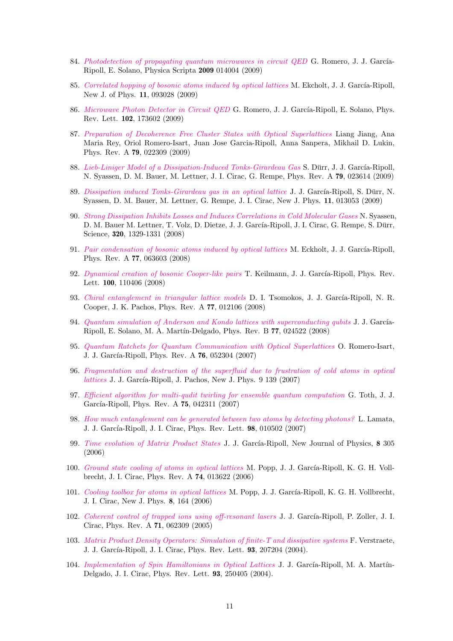- 84. [Photodetection of propagating quantum microwaves in circuit QED](http://dx.doi.org/10.1088/0031-8949/2009/T137/014004) G. Romero, J. J. García-Ripoll, E. Solano, Physica Scripta 2009 014004 (2009)
- 85. [Correlated hopping of bosonic atoms induced by optical lattices](http://dx.doi.org/10.1088/1367-2630/11/9/093028) M. Ekcholt, J. J. García-Ripoll, New J. of Phys. 11, 093028 (2009)
- 86. [Microwave Photon Detector in Circuit QED](http://dx.doi.org/10.1103/PhysRevLett%2E102%2E173602) G. Romero, J. J. García-Ripoll, E. Solano, Phys. Rev. Lett. 102, 173602 (2009)
- 87. [Preparation of Decoherence Free Cluster States with Optical Superlattices](http://dx.doi.org/10.1103/PhysRevA.79.022309) Liang Jiang, Ana Maria Rey, Oriol Romero-Isart, Juan Jose Garcia-Ripoll, Anna Sanpera, Mikhail D. Lukin, Phys. Rev. A 79, 022309 (2009)
- 88. [Lieb-Liniger Model of a Dissipation-Induced Tonks-Girardeau Gas](http://dx.doi.org/10.1103/PhysRevA.79.023614) S. Dürr, J. J. García-Ripoll, N. Syassen, D. M. Bauer, M. Lettner, J. I. Cirac, G. Rempe, Phys. Rev. A 79, 023614 (2009)
- 89. [Dissipation induced Tonks-Girardeau gas in an optical lattice](http://dx.doi.org/10.1088/1367-2630/11/1/013053) J. J. García-Ripoll, S. Dürr, N. Syassen, D. M. Bauer, M. Lettner, G. Rempe, J. I. Cirac, New J. Phys. 11, 013053 (2009)
- 90. [Strong Dissipation Inhibits Losses and Induces Correlations in Cold Molecular Gases](http://dx.doi.org/10.1126/science.1155309) N. Syassen, D. M. Bauer M. Lettner, T. Volz, D. Dietze, J. J. García-Ripoll, J. I. Cirac, G. Rempe, S. Dürr, Science, 320, 1329-1331 (2008)
- 91. [Pair condensation of bosonic atoms induced by optical lattices](http://dx.doi.org/10.1103/PhysRevA.77.063603) M. Eckholt, J. J. García-Ripoll, Phys. Rev. A 77, 063603 (2008)
- 92. [Dynamical creation of bosonic Cooper-like pairs](http://dx.doi.org/10.1103/PhysRevLett.100.110406) T. Keilmann, J. J. García-Ripoll, Phys. Rev. Lett. 100, 110406 (2008)
- 93. [Chiral entanglement in triangular lattice models](http://dx.doi.org/10.1103/PhysRevA.77.012106) D. I. Tsomokos, J. J. García-Ripoll, N. R. Cooper, J. K. Pachos, Phys. Rev. A 77, 012106 (2008)
- 94. [Quantum simulation of Anderson and Kondo lattices with superconducting qubits](http://dx.doi.org/10.1103/PhysRevB.77.024522) J. J. García-Ripoll, E. Solano, M. A. Mart´ın-Delgado, Phys. Rev. B 77, 024522 (2008)
- 95. [Quantum Ratchets for Quantum Communication with Optical Superlattices](http://dx.doi.org/10.1103/PhysRevA.76.052304) O. Romero-Isart, J. J. García-Ripoll, Phys. Rev. A **76**, 052304 (2007)
- 96. [Fragmentation and destruction of the superfluid due to frustration of cold atoms in optical](http://dx.doi.org/10.1088/1367-2630/9/5/139)  $lattices$  J. J. García-Ripoll, J. Pachos, New J. Phys.  $9$  139 (2007)
- 97. [Efficient algorithm for multi-qudit twirling for ensemble quantum computation](http://dx.doi.org/10.1103/PhysRevA.75.042311) G. Toth, J. J. García-Ripoll, Phys. Rev. A 75, 042311 (2007)
- 98. [How much entanglement can be generated between two atoms by detecting photons?](http://dx.doi.org/10.1103/PhysRevLett.98.010502) L. Lamata, J. J. García-Ripoll, J. I. Cirac, Phys. Rev. Lett. 98, 010502 (2007)
- 99. [Time evolution of Matrix Product States](http://dx.doi.org/10.1088/1367-2630/8/12/305) J. J. García-Ripoll, New Journal of Physics, 8 305 (2006)
- 100. [Ground state cooling of atoms in optical lattices](http://dx.doi.org/10.1103/PhysRevA.74.013622) M. Popp, J. J. García-Ripoll, K. G. H. Vollbrecht, J. I. Cirac, Phys. Rev. A 74, 013622 (2006)
- 101. [Cooling toolbox for atoms in optical lattices](http://dx.doi.org/10.1088/1367-2630/8/8/164) M. Popp, J. J. García-Ripoll, K. G. H. Vollbrecht, J. I. Cirac, New J. Phys. 8, 164 (2006)
- 102. [Coherent control of trapped ions using off-resonant lasers](http://dx.doi.org/10.1103/PhysRevA.71.062309) J. J. García-Ripoll, P. Zoller, J. I. Cirac, Phys. Rev. A 71, 062309 (2005)
- 103. [Matrix Product Density Operators: Simulation of finite-T and dissipative systems](http://dx.doi.org/10.1103/PhysRevLett.93.207204) F. Verstraete, J. J. García-Ripoll, J. I. Cirac, Phys. Rev. Lett. **93**, 207204 (2004).
- 104. [Implementation of Spin Hamiltonians in Optical Lattices](http://dx.doi.org/10.1103/PhysRevLett.93.250405) J. J. García-Ripoll, M. A. Martín-Delgado, J. I. Cirac, Phys. Rev. Lett. 93, 250405 (2004).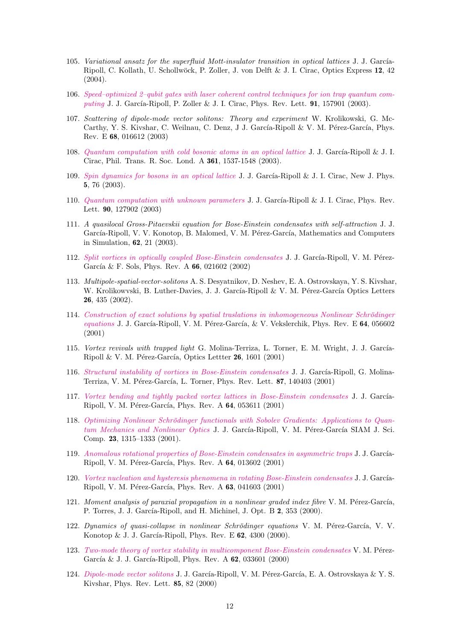- 105. Variational ansatz for the superfluid Mott-insulator transition in optical lattices J. J. García-Ripoll, C. Kollath, U. Schollwöck, P. Zoller, J. von Delft & J. I. Cirac, Optics Express 12, 42 (2004).
- 106. [Speed–optimized 2–qubit gates with laser coherent control techniques for ion trap quantum com](http://dx.doi.org/10.1103/PhysRevLett.91.157901)[puting](http://dx.doi.org/10.1103/PhysRevLett.91.157901) J. J. García-Ripoll, P. Zoller & J. I. Cirac, Phys. Rev. Lett.  $91, 157901$  (2003).
- 107. Scattering of dipole-mode vector solitons: Theory and experiment W. Krolikowski, G. Mc-Carthy, Y. S. Kivshar, C. Weilnau, C. Denz, J J. García-Ripoll & V. M. Pérez-García, Phys. Rev. E 68, 016612 (2003)
- 108. [Quantum computation with cold bosonic atoms in an optical lattice](http://xxx.arxiv.org/abs/quant-ph/0406144) J. J. García-Ripoll & J. I. Cirac, Phil. Trans. R. Soc. Lond. A 361, 1537-1548 (2003).
- 109. [Spin dynamics for bosons in an optical lattice](http://dx.doi.org/10.1088/1367-2630/5/1/376) J. J. García-Ripoll & J. I. Cirac, New J. Phys. 5, 76 (2003).
- 110. [Quantum computation with unknown parameters](http://dx.doi.org/10.1103/PhysRevLett.90.127902) J. J. García-Ripoll & J. I. Cirac, Phys. Rev. Lett. 90, 127902 (2003)
- 111. A quasilocal Gross-Pitaevskii equation for Bose-Einstein condensates with self-attraction J. J. García-Ripoll, V. V. Konotop, B. Malomed, V. M. Pérez-García, Mathematics and Computers in Simulation, 62, 21 (2003).
- 112. [Split vortices in optically coupled Bose-Einstein condensates](http://dx.doi.org/10.1103/PhysRevA.66.021602) J. J. García-Ripoll, V. M. Pérez-García & F. Sols, Phys. Rev. A  $66$ , 021602 (2002)
- 113. Multipole-spatial-vector-solitons A. S. Desyatnikov, D. Neshev, E. A. Ostrovskaya, Y. S. Kivshar, W. Krolikowvski, B. Luther-Davies, J. J. García-Ripoll & V. M. Pérez-García Optics Letters 26, 435 (2002).
- 114. Construction of exact solutions by spatial traslations in inhomogeneous Nonlinear Schrödinger [equations](http://dx.doi.org/10.1103/PhysRevE.64.056602) J. J. García-Ripoll, V. M. Pérez-García, & V. Vekslerchik, Phys. Rev. E 64, 056602 (2001)
- 115. Vortex revivals with trapped light G. Molina-Terriza, L. Torner, E. M. Wright, J. J. García-Ripoll & V. M. Pérez-García, Optics Lettter  $26$ , 1601 (2001)
- 116. [Structural instability of vortices in Bose-Einstein condensates](http://dx.doi.org/10.1103/PhysRevLett.87.140403) J. J. García-Ripoll, G. Molina-Terriza, V. M. Pérez-García, L. Torner, Phys. Rev. Lett. 87, 140403 (2001)
- 117. [Vortex bending and tightly packed vortex lattices in Bose-Einstein condensates](http://dx.doi.org/10.1103/PhysRevA.64.053611) J. J. García-Ripoll, V. M. Pérez-García, Phys. Rev. A 64, 053611 (2001)
- 118. Optimizing Nonlinear Schrödinger functionals with Sobolev Gradients: Applications to Quan[tum Mechanics and Nonlinear Optics](http://dx.doi.org/10.1137/S1064827500377721) J. J. García-Ripoll, V. M. Pérez-García SIAM J. Sci. Comp. 23, 1315–1333 (2001).
- 119. [Anomalous rotational properties of Bose-Einstein condensates in asymmetric traps](http://dx.doi.org/10.1103/PhysRevA.64.013602) J. J. García-Ripoll, V. M. Pérez-García, Phys. Rev. A 64, 013602 (2001)
- 120. [Vortex nucleation and hysteresis phenomena in rotating Bose-Einstein condensates](http://dx.doi.org/10.1103/PhysRevA.63.041603) J. J. García-Ripoll, V. M. Pérez-García, Phys. Rev. A 63, 041603 (2001)
- 121. Moment analysis of paraxial propagation in a nonlinear graded index fibre V. M. Pérez-García, P. Torres, J. J. García-Ripoll, and H. Michinel, J. Opt. B 2, 353 (2000).
- 122. Dynamics of quasi-collapse in nonlinear Schrödinger equations V. M. Pérez-García, V. V. Konotop & J. J. García-Ripoll, Phys. Rev. E  $62$ , 4300 (2000).
- 123. [Two-mode theory of vortex stability in multicomponent Bose-Einstein condensates](http://dx.doi.org/10.1103/PhysRevA.62.033601) V. M. Pérez-García & J. J. García-Ripoll, Phys. Rev. A 62, 033601 (2000)
- 124. [Dipole-mode vector solitons](http://dx.doi.org/10.1103/PhysRevLett.84.4264) J. J. García-Ripoll, V. M. Pérez-García, E. A. Ostrovskaya & Y. S. Kivshar, Phys. Rev. Lett. 85, 82 (2000)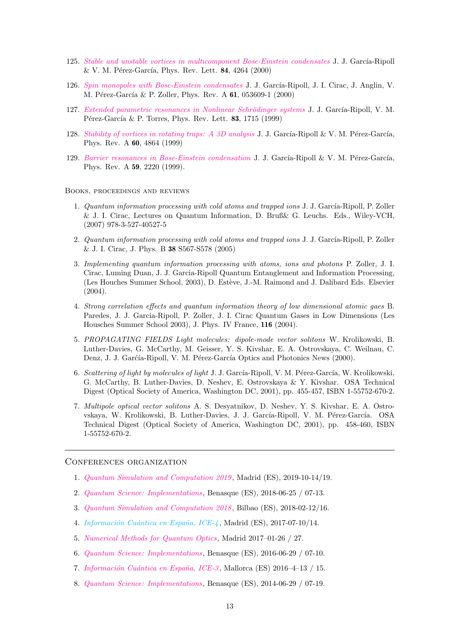- 125. [Stable and unstable vortices in multicomponent Bose-Einstein condensates](http://dx.doi.org/10.1103/PhysRevLett.84.4264) J. J. García-Ripoll  $&$  V. M. Pérez-García, Phys. Rev. Lett. 84, 4264 (2000)
- 126. [Spin monopoles with Bose-Einstein condensates](http://dx.doi.org/10.1103/PhysRevA.61.053609) J. J. García-Ripoll, J. I. Cirac, J. Anglin, V. M. Pérez-García & P. Zoller, Phys. Rev. A 61, 053609-1 (2000)
- 127. Extended parametric resonances in Nonlinear Schrödinger systems J. J. García-Ripoll, V. M. Pérez-García & P. Torres, Phys. Rev. Lett.  $83, 1715$  (1999)
- 128. Stability of vortices in rotating traps: A  $3D$  analysis J. J. García-Ripoll & V. M. Pérez-García, Phys. Rev. A 60, 4864 (1999)
- 129. [Barrier resonances in Bose-Einstein condensation](http://dx.doi.org/10.1103/PhysRevA.59.2220) J. J. García-Ripoll & V. M. Pérez-García, Phys. Rev. A 59, 2220 (1999).

### Books, proceedings and reviews

- 1. Quantum information processing with cold atoms and trapped ions J. J. García-Ripoll, P. Zoller & J. I. Cirac, Lectures on Quantum Information, D. Bruß& G. Leuchs. Eds., Wiley-VCH, (2007) 978-3-527-40527-5
- 2. Quantum information processing with cold atoms and trapped ions J. J. García-Ripoll, P. Zoller & J. I. Cirac, J. Phys. B 38 S567-S578 (2005)
- 3. Implementing quantum information processing with atoms, ions and photons P. Zoller, J. I. Cirac, Luming Duan, J. J. Garcia-Ripoll Quantum Entanglement and Information Processing, (Les Houches Summer School, 2003), D. Estève, J.-M. Raimond and J. Dalibard Eds. Elsevier (2004).
- 4. Strong correlation effects and quantum information theory of low dimensional atomic gaes B. Paredes, J. J. Garcia-Ripoll, P. Zoller, J. I. Cirac Quantum Gases in Low Dimensions (Les Housches Summer School 2003), J. Phys. IV France, 116 (2004).
- 5. PROPAGATING FIELDS Light molecules: dipole-mode vector solitons W. Krolikowski, B. Luther-Davies, G. McCarthy, M. Geisser, Y. S. Kivshar, E. A. Ostrovskaya, C. Weilnau, C. Denz, J. J. Garćía-Ripoll, V. M. Pérez-García Optics and Photonics News (2000).
- 6. Scattering of light by molecules of light J. J. García-Ripoll, V. M. Pérez-García, W. Krolikowski, G. McCarthy, B. Luther-Davies, D. Neshev, E. Ostrovskaya & Y. Kivshar. OSA Technical Digest (Optical Society of America, Washington DC, 2001), pp. 455-457, ISBN 1-55752-670-2.
- 7. Multipole optical vector solitons A. S. Desyatnikov, D. Neshev, Y. S. Kivshar, E. A. Ostrovskaya, W. Krolikowski, B. Luther-Davies, J. J. García-Ripoll, V. M. Pérez-García. OSA Technical Digest (Optical Society of America, Washington DC, 2001), pp. 458-460, ISBN 1-55752-670-2.

### Conferences organization

- 1. [Quantum Simulation and Computation 2019](http://qsc2019.hbar.es) , Madrid (ES), 2019-10-14/19.
- 2. [Quantum Science: Implementations](http://benasque.org/2018qsi/), Benasque (ES), 2018-06-25 / 07-13.
- 3. [Quantum Simulation and Computation 2018](http://qsc2018.hbar.es) , Bilbao (ES), 2018-02-12/16.
- 4. Información Cuántica en España, ICE-4, Madrid (ES), 2017-07-10/14.
- 5. [Numerical Methods for Quantum Optics](http://quinfog.hbar.es/workshops/numerics-in-quantum-optics-2017/), Madrid 2017–01-26 / 27.
- 6. [Quantum Science: Implementations](http://benasque.org/2016qsi/), Benasque (ES), 2016-06-29 / 07-10.
- 7. Información Cuántica en España, ICE-3, Mallorca (ES) 2016-4-13 / 15.
- 8. [Quantum Science: Implementations](http://benasque.org/2014qsi/), Benasque (ES), 2014-06-29 / 07-19.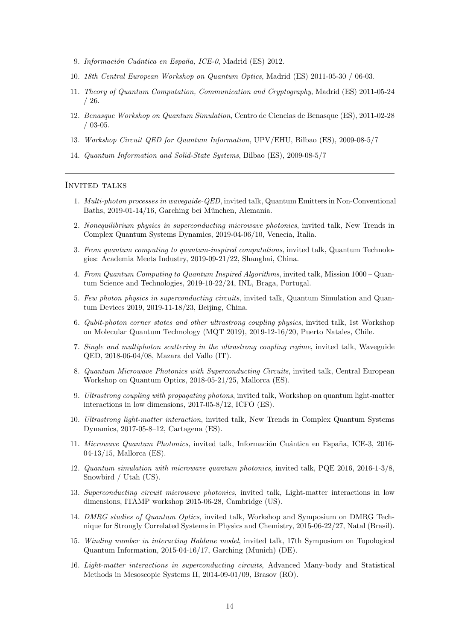- 9. Información Cuántica en España, ICE-0, Madrid (ES) 2012.
- 10. 18th Central European Workshop on Quantum Optics, Madrid (ES) 2011-05-30 / 06-03.
- 11. Theory of Quantum Computation, Communication and Cryptography, Madrid (ES) 2011-05-24 / 26.
- 12. Benasque Workshop on Quantum Simulation, Centro de Ciencias de Benasque (ES), 2011-02-28 / 03-05.
- 13. Workshop Circuit QED for Quantum Information, UPV/EHU, Bilbao (ES), 2009-08-5/7
- 14. Quantum Information and Solid-State Systems, Bilbao (ES), 2009-08-5/7

### Invited talks

- 1. Multi-photon processes in waveguide-QED, invited talk, Quantum Emitters in Non-Conventional Baths, 2019-01-14/16, Garching bei München, Alemania.
- 2. Nonequilibrium physics in superconducting microwave photonics, invited talk, New Trends in Complex Quantum Systems Dynamics, 2019-04-06/10, Venecia, Italia.
- 3. From quantum computing to quantum-inspired computations, invited talk, Quantum Technologies: Academia Meets Industry, 2019-09-21/22, Shanghai, China.
- 4. From Quantum Computing to Quantum Inspired Algorithms, invited talk, Mission 1000 Quantum Science and Technologies, 2019-10-22/24, INL, Braga, Portugal.
- 5. Few photon physics in superconducting circuits, invited talk, Quantum Simulation and Quantum Devices 2019, 2019-11-18/23, Beijing, China.
- 6. Qubit-photon corner states and other ultrastrong coupling physics, invited talk, 1st Workshop on Molecular Quantum Technology (MQT 2019), 2019-12-16/20, Puerto Natales, Chile.
- 7. Single and multiphoton scattering in the ultrastrong coupling regime, invited talk, Waveguide QED, 2018-06-04/08, Mazara del Vallo (IT).
- 8. Quantum Microwave Photonics with Superconducting Circuits, invited talk, Central European Workshop on Quantum Optics, 2018-05-21/25, Mallorca (ES).
- 9. Ultrastrong coupling with propagating photons, invited talk, Workshop on quantum light-matter interactions in low dimensions, 2017-05-8/12, ICFO (ES).
- 10. Ultrastrong light-matter interaction, invited talk, New Trends in Complex Quantum Systems Dynamics, 2017-05-8–12, Cartagena (ES).
- 11. Microwave Quantum Photonics, invited talk, Información Cuántica en España, ICE-3, 2016-04-13/15, Mallorca (ES).
- 12. Quantum simulation with microwave quantum photonics, invited talk, PQE 2016, 2016-1-3/8, Snowbird / Utah (US).
- 13. Superconducting circuit microwave photonics, invited talk, Light-matter interactions in low dimensions, ITAMP workshop 2015-06-28, Cambridge (US).
- 14. DMRG studies of Quantum Optics, invited talk, Workshop and Symposium on DMRG Technique for Strongly Correlated Systems in Physics and Chemistry, 2015-06-22/27, Natal (Brasil).
- 15. Winding number in interacting Haldane model, invited talk, 17th Symposium on Topological Quantum Information, 2015-04-16/17, Garching (Munich) (DE).
- 16. Light-matter interactions in superconducting circuits, Advanced Many-body and Statistical Methods in Mesoscopic Systems II, 2014-09-01/09, Brasov (RO).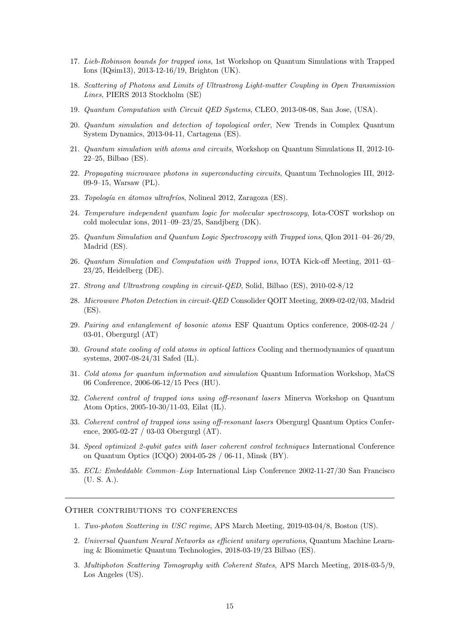- 17. Lieb-Robinson bounds for trapped ions, 1st Workshop on Quantum Simulations with Trapped Ions (IQsim13), 2013-12-16/19, Brighton (UK).
- 18. Scattering of Photons and Limits of Ultrastrong Light-matter Coupling in Open Transmission Lines, PIERS 2013 Stockholm (SE)
- 19. Quantum Computation with Circuit QED Systems, CLEO, 2013-08-08, San Jose, (USA).
- 20. Quantum simulation and detection of topological order, New Trends in Complex Quantum System Dynamics, 2013-04-11, Cartagena (ES).
- 21. Quantum simulation with atoms and circuits, Workshop on Quantum Simulations II, 2012-10- 22–25, Bilbao (ES).
- 22. Propagating microwave photons in superconducting circuits, Quantum Technologies III, 2012- 09-9–15, Warsaw (PL).
- 23. Topología en átomos ultrafríos, Nolineal 2012, Zaragoza (ES).
- 24. Temperature independent quantum logic for molecular spectroscopy, Iota-COST workshop on cold molecular ions, 2011–09–23/25, Sandjberg (DK).
- 25. Quantum Simulation and Quantum Logic Spectroscopy with Trapped ions, QIon 2011–04–26/29, Madrid (ES).
- 26. Quantum Simulation and Computation with Trapped ions, IOTA Kick-off Meeting, 2011–03– 23/25, Heidelberg (DE).
- 27. Strong and Ultrastrong coupling in circuit-QED, Solid, Bilbao (ES), 2010-02-8/12
- 28. Microwave Photon Detection in circuit-QED Consolider QOIT Meeting, 2009-02-02/03, Madrid (ES).
- 29. Pairing and entanglement of bosonic atoms ESF Quantum Optics conference, 2008-02-24 / 03-01, Obergurgl (AT)
- 30. Ground state cooling of cold atoms in optical lattices Cooling and thermodynamics of quantum systems, 2007-08-24/31 Safed (IL).
- 31. Cold atoms for quantum information and simulation Quantum Information Workshop, MaCS 06 Conference, 2006-06-12/15 Pecs (HU).
- 32. Coherent control of trapped ions using off-resonant lasers Minerva Workshop on Quantum Atom Optics, 2005-10-30/11-03, Eilat (IL).
- 33. Coherent control of trapped ions using off-resonant lasers Obergurgl Quantum Optics Conference, 2005-02-27 / 03-03 Obergurgl (AT).
- 34. Speed optimized 2-qubit gates with laser coherent control techniques International Conference on Quantum Optics (ICQO) 2004-05-28 / 06-11, Minsk (BY).
- 35. ECL: Embeddable Common–Lisp International Lisp Conference 2002-11-27/30 San Francisco (U. S. A.).

#### Other contributions to conferences

- 1. Two-photon Scattering in USC regime, APS March Meeting, 2019-03-04/8, Boston (US).
- 2. Universal Quantum Neural Networks as efficient unitary operations, Quantum Machine Learning & Biomimetic Quantum Technologies, 2018-03-19/23 Bilbao (ES).
- 3. Multiphoton Scattering Tomography with Coherent States, APS March Meeting, 2018-03-5/9, Los Angeles (US).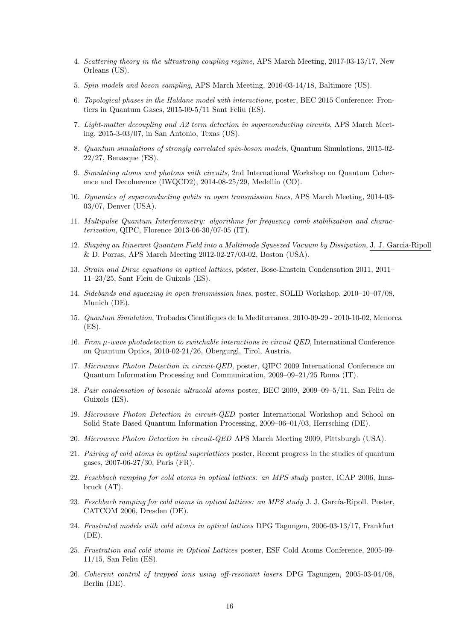- 4. Scattering theory in the ultrastrong coupling regime, APS March Meeting, 2017-03-13/17, New Orleans (US).
- 5. Spin models and boson sampling, APS March Meeting, 2016-03-14/18, Baltimore (US).
- 6. Topological phases in the Haldane model with interactions, poster, BEC 2015 Conference: Frontiers in Quantum Gases, 2015-09-5/11 Sant Feliu (ES).
- 7. Light-matter decoupling and A2 term detection in superconducting circuits, APS March Meeting, 2015-3-03/07, in San Antonio, Texas (US).
- 8. Quantum simulations of strongly correlated spin-boson models, Quantum Simulations, 2015-02- 22/27, Benasque (ES).
- 9. Simulating atoms and photons with circuits, 2nd International Workshop on Quantum Coherence and Decoherence (IWQCD2),  $2014-08-25/29$ , Medellín (CO).
- 10. Dynamics of superconducting qubits in open transmission lines, APS March Meeting, 2014-03- 03/07, Denver (USA).
- 11. Multipulse Quantum Interferometry: algorithms for frequency comb stabilization and characterization, QIPC, Florence 2013-06-30/07-05 (IT).
- 12. Shaping an Itinerant Quantum Field into a Multimode Squeezed Vacuum by Dissipation, J. J. Garcia-Ripoll & D. Porras, APS March Meeting 2012-02-27/03-02, Boston (USA).
- 13. Strain and Dirac equations in optical lattices, poster, Bose-Einstein Condensation 2011, 2011– 11–23/25, Sant Fleiu de Guixols (ES).
- 14. Sidebands and squeezing in open transmission lines, poster, SOLID Workshop, 2010–10–07/08, Munich (DE).
- 15. Quantum Simulation, Trobades Cientifiques de la Mediterranea, 2010-09-29 2010-10-02, Menorca (ES).
- 16. From µ-wave photodetection to switchable interactions in circuit QED, International Conference on Quantum Optics, 2010-02-21/26, Obergurgl, Tirol, Austria.
- 17. Microwave Photon Detection in circuit-QED, poster, QIPC 2009 International Conference on Quantum Information Processing and Communication, 2009–09–21/25 Roma (IT).
- 18. Pair condensation of bosonic ultracold atoms poster, BEC 2009, 2009–09–5/11, San Feliu de Guixols (ES).
- 19. Microwave Photon Detection in circuit-QED poster International Workshop and School on Solid State Based Quantum Information Processing, 2009–06–01/03, Herrsching (DE).
- 20. Microwave Photon Detection in circuit-QED APS March Meeting 2009, Pittsburgh (USA).
- 21. Pairing of cold atoms in optical superlattices poster, Recent progress in the studies of quantum gases, 2007-06-27/30, Paris (FR).
- 22. Feschbach ramping for cold atoms in optical lattices: an MPS study poster, ICAP 2006, Innsbruck (AT).
- 23. Feschbach ramping for cold atoms in optical lattices: an MPS study J. J. García-Ripoll. Poster, CATCOM 2006, Dresden (DE).
- 24. Frustrated models with cold atoms in optical lattices DPG Tagungen, 2006-03-13/17, Frankfurt (DE).
- 25. Frustration and cold atoms in Optical Lattices poster, ESF Cold Atoms Conference, 2005-09- 11/15, San Feliu (ES).
- 26. Coherent control of trapped ions using off-resonant lasers DPG Tagungen, 2005-03-04/08, Berlin (DE).